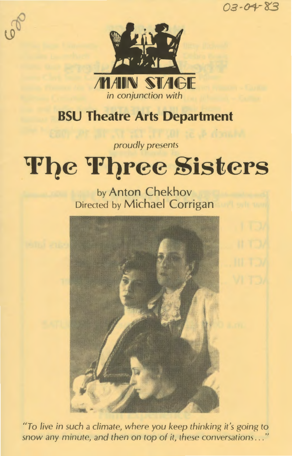oa-01--83



## **BSU Theatre Arts Department**

*proudly presents* 

# **The Three Sisters**

by Anton Chekhov Directed by Michael Corrigan



*"To live in such a climate, where you keep thinking it's going to*  snow any minute, and then on top of it, these conversations . . ."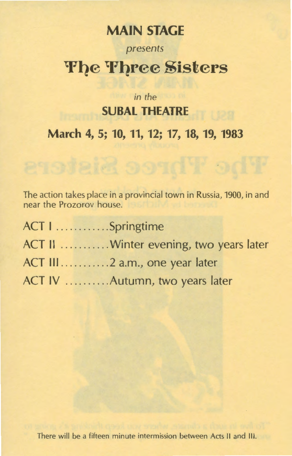### **MAIN STAGE**

# *presents*  **The Three Sisters**

### *in the*  **SURAL THEATRE**

**March 4, 5; 10, 11, 12; 17, 18, 19, 1983** 

The action takes place in a provincial town in Russia, 1900, in and near the Prozorov house.

| ACT I Springtime                        |
|-----------------------------------------|
| ACT II  Winter evening, two years later |
|                                         |
| ACT IV  Autumn, two years later         |

There will be a fifteen minute intermission between Acts II and Ill.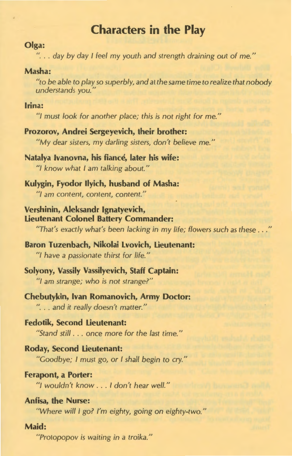### **Characters in the Play**

#### **Olga:**

"... day by day I feel my youth and strength draining out of me."

#### Masha:

"to be able to play so superbly, and at the same time to realize that nobody understands you."

#### **Irina:**

"I must look for another place; this is not right for me."

**Prozorov, Andrei Sergeyevich, their brother:**  "My dear sisters, my darling sisters, don't believe me."

**Natalya lvanovna, his fiance, later his wife:**  "I know what I am talking about."

**Kulygin, Fyodor llyich, husband of Masha:**  "I am content, content, content."

**Vershinin, Aleksandr lgnatyevich, Lieutenant Colonel Battery Commander:**  "That's exactly what's been lacking in my life; flowers such as these ...

**Baron Tuzenbach, Nikolai Lvovich, Lieutenant:**  "I have a passionate thirst for life."

**Solyony, Vassily Vassilyevich, Staff Captain:**  "I am strange; who is not strange?"

**Chebutykin, Ivan Romanovich, Army Doctor:**  "... and it really doesn't matter."

**Fedotik, Second Lieutenant:**  "Stand still . .. once more for the last time."

**Roday, Second Lieutenant:**  "Goodbye; I must go, or I shall begin to cry."

#### **Ferapont, a Porter:**

"I wouldn't know . .. I don't hear well."

**Anfisa, the Nurse:** 

"Where will I go? I'm eighty, going on eighty-two."

#### **Maid:**

"Protopopov is waiting in a troika."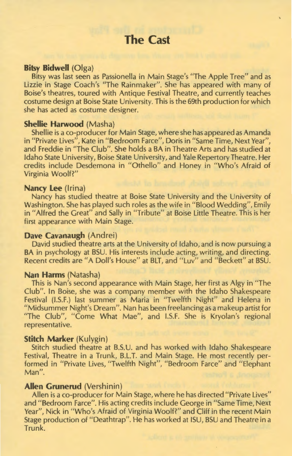#### **Bitsy Bidwell** (Olga)

Bitsy was last seen as Passionella in Main Stage's "The Apple Tree" and as Lizzie in Stage Coach's "The Rainmaker". She has appeared with many of Boise's theatres, toured with Antique Festival Theatre, and currently teaches costume design at Boise State University. This is the 69th production for which she has acted as costume designer.

#### **Shellie Harwood** (Masha)

Shellie is a co-producer for Main Stage, where she has appeared as Amanda in "Private Lives", Kate in "Bedroom Farce", Doris in "Same Time, Next Year", and Freddie in "The Club". She holds a BA in Theatre Arts and has studied at Idaho State University, Boise State University, and Yale Repertory Theatre. Her credits include Desdemona in "Othello" and Honey in "Who's Afraid of Virginia Woolf?"

#### **Nancy Lee** (Irina)

Nancy has studied theatre at Boise State University and the University of Washington. She has played such roles as the wife in "Blood Wedding", Emily in "Alfred the Great" and Sally in "Tribute" at Boise Little Theatre. This is her first appearance with Main Stage.

#### **Dave Cavanaugh** (Andrei)

David studied theatre arts at the University of Idaho, and is now pursuing a BA in psychology at BSU. His interests include acting, writing, and directing. Recent credits are "A Doll's House" at BLT, and " Luv" and "Beckett" at BSU.

#### **Nan Harms** (Natasha)

This is Nan's second appearance with Main Stage, her first as Algy in "The Club". In Boise, she was a company member with the Idaho Shakespeare Festival (I.S.F.) last summer as Maria in "Twelfth Night" and Helena in "Midsummer Night's Dream". Nan has been freelancing as a makeup artist for "The Club", "Come What Mae", and I.S.F. She is Kryolan's regional representative.

#### **Stitch Marker** (Kulygin)

Stitch studied theatre at B.S.U. and has worked with Idaho Shakespeare Festival, Theatre in a Trunk, B.L.T. and Main Stage. He most recently performed in "Private Lives, "Twelfth Night", "Bedroom Farce" and " Elephant Man".

#### **Allen Grunerud** (Vershinin)

Allen is a co-producer for Main Stage, where he has directed "Private Lives" and "Bedroom Farce". His acting credits include George in "Same Time, Next Year", Nick in "Who's Afraid of Virginia Woolf?" and Cliff in the recent Main Stage production of "Deathtrap". He has worked at ISU, BSU and Theatre in a Trunk.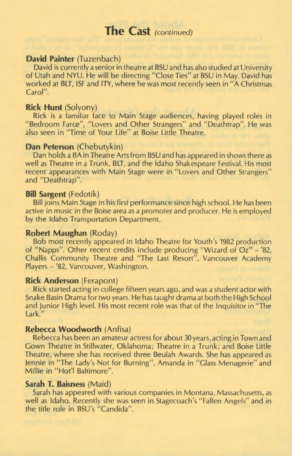#### **David Painter** (Tuzenbach)

David is currently a senior in theatre at BSU and has also studied at University of Utah and NYU. He will be directing "Close Ties" at BSU in May. David has worked at BLT, ISF and ITY, where he was most recently seen in "A Christmas Carol".

#### **Rick Hunt** (Solyony)

Rick is a familiar face to Main Stage audiences, having played roles in "Bedroom Farce", "Lovers and Other Strangers" and "Deathtrap". He was also seen in "Time of Your Life" at Boise Little Theatre.

#### **Dan Peterson** (Chebutykin)

Dan holds a BA in Theatre Arts from BSU and has appeared in shows there as well as Theatre in a Trunk, BLT, and the Idaho Shakespeare Festival. His most recent appearances with Main Stage were in "Lovers and Other Strangers" and "Deathtrap".

#### **Bill Sargent** (Fedotik)

Bill joins Main Stage in his first performance since high school. He has been active in music in the Boise area as a promoter and producer. He is employed by the Idaho Transportation Department.

#### **Robert Maughan** (Roday)

Bob most recently appeared in Idaho Theatre for Youth's 1982 production of "Napps". Other recent credits include producing "Wizard of Oz"- '82, Challis Community Theatre and "The Last Resort", Vancouver Academy Players - '82, Vancouver, Washington.

#### **Rick Anderson** (Ferapont)

Rick started acting in college fifteen years ago, and was a student actor with Snake Basin Drama for two years. He has taught drama at both the High School and Junior High level. His most recent role was that of the Inquisitor in "The Lark."

#### **Rebecca Woodworth** (Anfisa)

Rebecca has been an amateur actress for about 30 years, acting in Town and Gown Theatre in Stillwater, Oklahoma; Theatre in a Trunk; and Boise Little Theatre, where she has received three Beulah Awards. She has appeared as jennie in "The Lady's Not for Burning", Amanda in "Glass Menagerie" and Millie in "Hot'l Baltimore".

#### **Sarah T. Baisness** (Maid)

Sarah has appeared with various companies in Montana, Massachusetts, as well as Idaho. Recently she was seen in Stagecoach's "Fallen Angels" and in the title role in BSU's "Candida".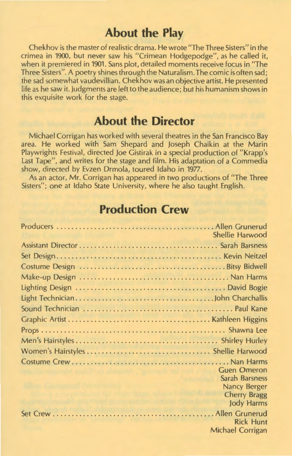### **About the Play**

Chekhov is the master of realistic drama. He wrote "The Three Sisters" in the crimea in 1900, but never saw his "Crimean Hodgepodge", as he called it, when it premiered in 1901. Sans plot, detailed moments receive focus in "The Three Sisters". A poetry shines through the Naturalism. The comic is often sad; the sad somewhat vaudevillian. Chekhov was an objective artist. He presented life as he saw it. Judgments are left to the audience; but his humanism shows in this exquisite work for the stage.

### **About the Director**

Michael Corrigan has worked with several theatres in the San Francisco Bay area. He worked with Sam Shepard and Joseph Chaikin at the Marin Playwrights Festival, directed Joe Gistirak in a special production of "Krapp's Last Tape", and writes for the stage and film. His adaptation of a Commedia show, directed by Evzen Drmola, toured Idaho in 1977.

As an actor, Mr. Corrigan has appeared in two productions of "The Three Sisters"; one at Idaho State University, where he also taught English.

### **Production Crew**

| Shellie Harwood     |
|---------------------|
|                     |
|                     |
|                     |
|                     |
|                     |
|                     |
|                     |
|                     |
|                     |
|                     |
|                     |
|                     |
| <b>Guen Omeron</b>  |
| Sarah Barsness      |
| <b>Nancy Berger</b> |
| <b>Cherry Bragg</b> |
| <b>Jody Harms</b>   |
|                     |
| <b>Rick Hunt</b>    |
| Michael Corrigan    |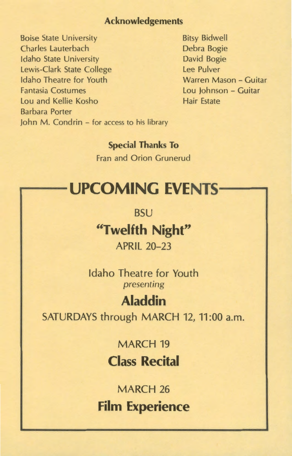#### Acknowledgements

Boise State University Charles Lauterbach Idaho State University Lewis-Clark State College Idaho Theatre for Youth Fantasia Costumes Lou and Kellie Kosho Barbara Porter John M. Condrin - for access to his library Bitsy Bidwell Debra Bogie David Bogie Lee Pulver Warren Mason - Guitar Lou Johnson - Guitar Hair Estate

Special Thanks To Fran and Orion Grunerud

# **UPCOMING EVENTS-**

**BSU** 

**"Twelfth Night"**  APRIL 20-23

Idaho Theatre for Youth *presenting* 

### **Aladdin**

SATURDAYS through MARCH 12, 11:00 a.m.

MARCH 19 **Class Recital** 

MARCH 26 **Film Experience**